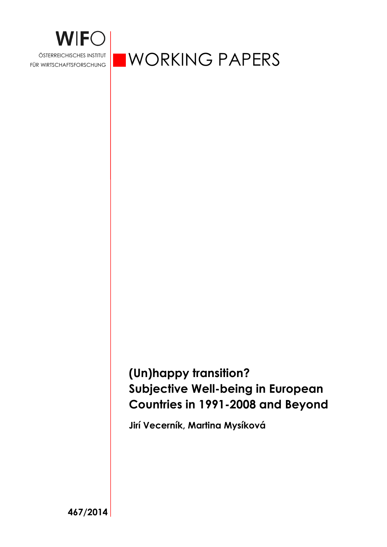

ÖSTERREICHISCHES INSTITUT WORKING PAPERS

# **(Un)happy transition? Subjective Well-being in European Countries in 1991-2008 and Beyond**

**Jirí Vecerník, Martina Mysíková** 

**467/2014**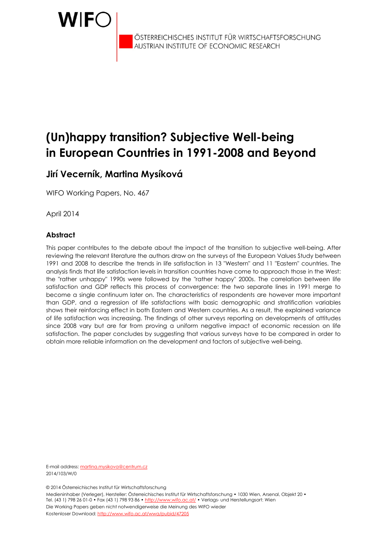

ÖSTERREICHISCHES INSTITUT FÜR WIRTSCHAFTSFORSCHUNG AUSTRIAN INSTITUTE OF ECONOMIC RESEARCH

# **(Un)happy transition? Subjective Well-being in European Countries in 1991-2008 and Beyond**

## **Jirí Vecerník, Martina Mysíková**

WIFO Working Papers, No. 467

April 2014

#### **Abstract**

This paper contributes to the debate about the impact of the transition to subjective well-being. After reviewing the relevant literature the authors draw on the surveys of the European Values Study between 1991 and 2008 to describe the trends in life satisfaction in 13 "Western" and 11 "Eastern" countries. The analysis finds that life satisfaction levels in transition countries have come to approach those in the West: the "rather unhappy" 1990s were followed by the "rather happy" 2000s. The correlation between life satisfaction and GDP reflects this process of convergence: the two separate lines in 1991 merge to become a single continuum later on. The characteristics of respondents are however more important than GDP, and a regression of life satisfactions with basic demographic and stratification variables shows their reinforcing effect in both Eastern and Western countries. As a result, the explained variance of life satisfaction was increasing. The findings of other surveys reporting on developments of attitudes since 2008 vary but are far from proving a uniform negative impact of economic recession on life satisfaction. The paper concludes by suggesting that various surveys have to be compared in order to obtain more reliable information on the development and factors of subjective well-being.

E-mail address: martina.mysikova@centrum.cz 2014/103/W/0

© 2014 Österreichisches Institut für Wirtschaftsforschung

Medieninhaber (Verleger), Hersteller: Österreichisches Institut für Wirtschaftsforschung • 1030 Wien, Arsenal, Objekt 20 • Tel. (43 1) 798 26 01-0 • Fax (43 1) 798 93 86 • http://www.wifo.ac.at/ • Verlags- und Herstellungsort: Wien Die Working Papers geben nicht notwendigerweise die Meinung des WIFO wieder Kostenloser Download: http://www.wifo.ac.at/wwa/pubid/47205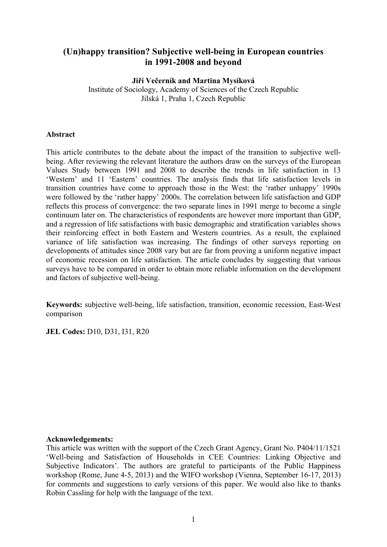### **(Un)happy transition? Subjective well-being in European countries in 1991-2008 and beyond**

**Jiří Večerník and Martina Mysíková** 

Institute of Sociology, Academy of Sciences of the Czech Republic Jilská 1, Praha 1, Czech Republic

#### **Abstract**

This article contributes to the debate about the impact of the transition to subjective wellbeing. After reviewing the relevant literature the authors draw on the surveys of the European Values Study between 1991 and 2008 to describe the trends in life satisfaction in 13 'Western' and 11 'Eastern' countries. The analysis finds that life satisfaction levels in transition countries have come to approach those in the West: the 'rather unhappy' 1990s were followed by the 'rather happy' 2000s. The correlation between life satisfaction and GDP reflects this process of convergence: the two separate lines in 1991 merge to become a single continuum later on. The characteristics of respondents are however more important than GDP, and a regression of life satisfactions with basic demographic and stratification variables shows their reinforcing effect in both Eastern and Western countries. As a result, the explained variance of life satisfaction was increasing. The findings of other surveys reporting on developments of attitudes since 2008 vary but are far from proving a uniform negative impact of economic recession on life satisfaction. The article concludes by suggesting that various surveys have to be compared in order to obtain more reliable information on the development and factors of subjective well-being.

**Keywords:** subjective well-being, life satisfaction, transition, economic recession, East-West comparison

**JEL Codes:** D10, D31, I31, R20

#### **Acknowledgements:**

This article was written with the support of the Czech Grant Agency, Grant No. P404/11/1521 'Well-being and Satisfaction of Households in CEE Countries: Linking Objective and Subjective Indicators'. The authors are grateful to participants of the Public Happiness workshop (Rome, June 4-5, 2013) and the WIFO workshop (Vienna, September 16-17, 2013) for comments and suggestions to early versions of this paper. We would also like to thanks Robin Cassling for help with the language of the text.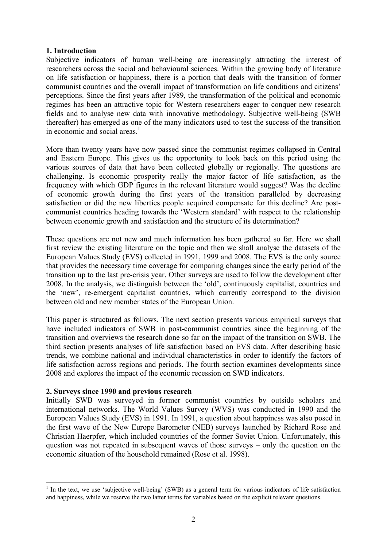#### **1. Introduction**

Subjective indicators of human well-being are increasingly attracting the interest of researchers across the social and behavioural sciences. Within the growing body of literature on life satisfaction or happiness, there is a portion that deals with the transition of former communist countries and the overall impact of transformation on life conditions and citizens' perceptions. Since the first years after 1989, the transformation of the political and economic regimes has been an attractive topic for Western researchers eager to conquer new research fields and to analyse new data with innovative methodology. Subjective well-being (SWB thereafter) has emerged as one of the many indicators used to test the success of the transition in economic and social areas $<sup>1</sup>$ </sup>

More than twenty years have now passed since the communist regimes collapsed in Central and Eastern Europe. This gives us the opportunity to look back on this period using the various sources of data that have been collected globally or regionally. The questions are challenging. Is economic prosperity really the major factor of life satisfaction, as the frequency with which GDP figures in the relevant literature would suggest? Was the decline of economic growth during the first years of the transition paralleled by decreasing satisfaction or did the new liberties people acquired compensate for this decline? Are postcommunist countries heading towards the 'Western standard' with respect to the relationship between economic growth and satisfaction and the structure of its determination?

These questions are not new and much information has been gathered so far. Here we shall first review the existing literature on the topic and then we shall analyse the datasets of the European Values Study (EVS) collected in 1991, 1999 and 2008. The EVS is the only source that provides the necessary time coverage for comparing changes since the early period of the transition up to the last pre-crisis year. Other surveys are used to follow the development after 2008. In the analysis, we distinguish between the 'old', continuously capitalist, countries and the 'new', re-emergent capitalist countries, which currently correspond to the division between old and new member states of the European Union.

This paper is structured as follows. The next section presents various empirical surveys that have included indicators of SWB in post-communist countries since the beginning of the transition and overviews the research done so far on the impact of the transition on SWB. The third section presents analyses of life satisfaction based on EVS data. After describing basic trends, we combine national and individual characteristics in order to identify the factors of life satisfaction across regions and periods. The fourth section examines developments since 2008 and explores the impact of the economic recession on SWB indicators.

#### **2. Surveys since 1990 and previous research**

<u>.</u>

Initially SWB was surveyed in former communist countries by outside scholars and international networks. The World Values Survey (WVS) was conducted in 1990 and the European Values Study (EVS) in 1991. In 1991, a question about happiness was also posed in the first wave of the New Europe Barometer (NEB) surveys launched by Richard Rose and Christian Haerpfer, which included countries of the former Soviet Union. Unfortunately, this question was not repeated in subsequent waves of those surveys – only the question on the economic situation of the household remained (Rose et al. 1998).

<sup>&</sup>lt;sup>1</sup> In the text, we use 'subjective well-being' (SWB) as a general term for various indicators of life satisfaction and happiness, while we reserve the two latter terms for variables based on the explicit relevant questions.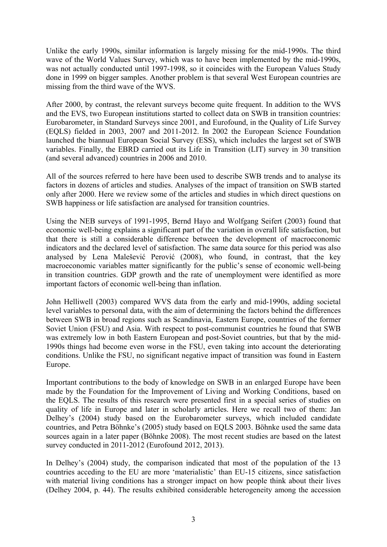Unlike the early 1990s, similar information is largely missing for the mid-1990s. The third wave of the World Values Survey, which was to have been implemented by the mid-1990s, was not actually conducted until 1997-1998, so it coincides with the European Values Study done in 1999 on bigger samples. Another problem is that several West European countries are missing from the third wave of the WVS.

After 2000, by contrast, the relevant surveys become quite frequent. In addition to the WVS and the EVS, two European institutions started to collect data on SWB in transition countries: Eurobarometer, in Standard Surveys since 2001, and Eurofound, in the Quality of Life Survey (EQLS) fielded in 2003, 2007 and 2011-2012. In 2002 the European Science Foundation launched the biannual European Social Survey (ESS), which includes the largest set of SWB variables. Finally, the EBRD carried out its Life in Transition (LIT) survey in 30 transition (and several advanced) countries in 2006 and 2010.

All of the sources referred to here have been used to describe SWB trends and to analyse its factors in dozens of articles and studies. Analyses of the impact of transition on SWB started only after 2000. Here we review some of the articles and studies in which direct questions on SWB happiness or life satisfaction are analysed for transition countries.

Using the NEB surveys of 1991-1995, Bernd Hayo and Wolfgang Seifert (2003) found that economic well-being explains a significant part of the variation in overall life satisfaction, but that there is still a considerable difference between the development of macroeconomic indicators and the declared level of satisfaction. The same data source for this period was also analysed by Lena Malešević Perović (2008), who found, in contrast, that the key macroeconomic variables matter significantly for the public's sense of economic well-being in transition countries. GDP growth and the rate of unemployment were identified as more important factors of economic well-being than inflation.

John Helliwell (2003) compared WVS data from the early and mid-1990s, adding societal level variables to personal data, with the aim of determining the factors behind the differences between SWB in broad regions such as Scandinavia, Eastern Europe, countries of the former Soviet Union (FSU) and Asia. With respect to post-communist countries he found that SWB was extremely low in both Eastern European and post-Soviet countries, but that by the mid-1990s things had become even worse in the FSU, even taking into account the deteriorating conditions. Unlike the FSU, no significant negative impact of transition was found in Eastern Europe.

Important contributions to the body of knowledge on SWB in an enlarged Europe have been made by the Foundation for the Improvement of Living and Working Conditions, based on the EQLS. The results of this research were presented first in a special series of studies on quality of life in Europe and later in scholarly articles. Here we recall two of them: Jan Delhey's (2004) study based on the Eurobarometer surveys, which included candidate countries, and Petra Böhnke's (2005) study based on EQLS 2003. Böhnke used the same data sources again in a later paper (Böhnke 2008). The most recent studies are based on the latest survey conducted in 2011-2012 (Eurofound 2012, 2013).

In Delhey's (2004) study, the comparison indicated that most of the population of the 13 countries acceding to the EU are more 'materialistic' than EU-15 citizens, since satisfaction with material living conditions has a stronger impact on how people think about their lives (Delhey 2004, p. 44). The results exhibited considerable heterogeneity among the accession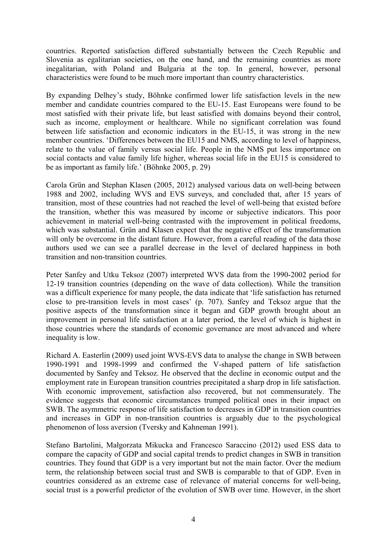countries. Reported satisfaction differed substantially between the Czech Republic and Slovenia as egalitarian societies, on the one hand, and the remaining countries as more inegalitarian, with Poland and Bulgaria at the top. In general, however, personal characteristics were found to be much more important than country characteristics.

By expanding Delhey's study, Böhnke confirmed lower life satisfaction levels in the new member and candidate countries compared to the EU-15. East Europeans were found to be most satisfied with their private life, but least satisfied with domains beyond their control, such as income, employment or healthcare. While no significant correlation was found between life satisfaction and economic indicators in the EU-15, it was strong in the new member countries. 'Differences between the EU15 and NMS, according to level of happiness, relate to the value of family versus social life. People in the NMS put less importance on social contacts and value family life higher, whereas social life in the EU15 is considered to be as important as family life.' (Böhnke 2005, p. 29)

Carola Grün and Stephan Klasen (2005, 2012) analysed various data on well-being between 1988 and 2002, including WVS and EVS surveys, and concluded that, after 15 years of transition, most of these countries had not reached the level of well-being that existed before the transition, whether this was measured by income or subjective indicators. This poor achievement in material well-being contrasted with the improvement in political freedoms, which was substantial. Grün and Klasen expect that the negative effect of the transformation will only be overcome in the distant future. However, from a careful reading of the data those authors used we can see a parallel decrease in the level of declared happiness in both transition and non-transition countries.

Peter Sanfey and Utku Teksoz (2007) interpreted WVS data from the 1990-2002 period for 12-19 transition countries (depending on the wave of data collection). While the transition was a difficult experience for many people, the data indicate that 'life satisfaction has returned close to pre-transition levels in most cases' (p. 707). Sanfey and Teksoz argue that the positive aspects of the transformation since it began and GDP growth brought about an improvement in personal life satisfaction at a later period, the level of which is highest in those countries where the standards of economic governance are most advanced and where inequality is low.

Richard A. Easterlin (2009) used joint WVS-EVS data to analyse the change in SWB between 1990-1991 and 1998-1999 and confirmed the V-shaped pattern of life satisfaction documented by Sanfey and Teksoz. He observed that the decline in economic output and the employment rate in European transition countries precipitated a sharp drop in life satisfaction. With economic improvement, satisfaction also recovered, but not commensurately. The evidence suggests that economic circumstances trumped political ones in their impact on SWB. The asymmetric response of life satisfaction to decreases in GDP in transition countries and increases in GDP in non-transition countries is arguably due to the psychological phenomenon of loss aversion (Tversky and Kahneman 1991).

Stefano Bartolini, Małgorzata Mikucka and Francesco Saraccino (2012) used ESS data to compare the capacity of GDP and social capital trends to predict changes in SWB in transition countries. They found that GDP is a very important but not the main factor. Over the medium term, the relationship between social trust and SWB is comparable to that of GDP. Even in countries considered as an extreme case of relevance of material concerns for well-being, social trust is a powerful predictor of the evolution of SWB over time. However, in the short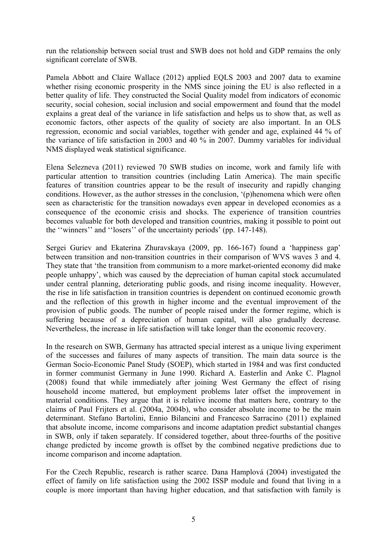run the relationship between social trust and SWB does not hold and GDP remains the only significant correlate of SWB.

Pamela Abbott and Claire Wallace (2012) applied EQLS 2003 and 2007 data to examine whether rising economic prosperity in the NMS since joining the EU is also reflected in a better quality of life. They constructed the Social Quality model from indicators of economic security, social cohesion, social inclusion and social empowerment and found that the model explains a great deal of the variance in life satisfaction and helps us to show that, as well as economic factors, other aspects of the quality of society are also important. In an OLS regression, economic and social variables, together with gender and age, explained 44 % of the variance of life satisfaction in 2003 and 40 % in 2007. Dummy variables for individual NMS displayed weak statistical significance.

Elena Selezneva (2011) reviewed 70 SWB studies on income, work and family life with particular attention to transition countries (including Latin America). The main specific features of transition countries appear to be the result of insecurity and rapidly changing conditions. However, as the author stresses in the conclusion, '(p)henomena which were often seen as characteristic for the transition nowadays even appear in developed economies as a consequence of the economic crisis and shocks. The experience of transition countries becomes valuable for both developed and transition countries, making it possible to point out the ''winners'' and ''losers'' of the uncertainty periods' (pp. 147-148).

Sergei Guriev and Ekaterina Zhuravskaya (2009, pp. 166-167) found a 'happiness gap' between transition and non-transition countries in their comparison of WVS waves 3 and 4. They state that 'the transition from communism to a more market-oriented economy did make people unhappy', which was caused by the depreciation of human capital stock accumulated under central planning, deteriorating public goods, and rising income inequality. However, the rise in life satisfaction in transition countries is dependent on continued economic growth and the reflection of this growth in higher income and the eventual improvement of the provision of public goods. The number of people raised under the former regime, which is suffering because of a depreciation of human capital, will also gradually decrease. Nevertheless, the increase in life satisfaction will take longer than the economic recovery.

In the research on SWB, Germany has attracted special interest as a unique living experiment of the successes and failures of many aspects of transition. The main data source is the German Socio-Economic Panel Study (SOEP), which started in 1984 and was first conducted in former communist Germany in June 1990. Richard A. Easterlin and Anke C. Plagnol (2008) found that while immediately after joining West Germany the effect of rising household income mattered, but employment problems later offset the improvement in material conditions. They argue that it is relative income that matters here, contrary to the claims of Paul Frijters et al. (2004a, 2004b), who consider absolute income to be the main determinant. Stefano Bartolini, Ennio Bilancini and Francesco Sarracino (2011) explained that absolute income, income comparisons and income adaptation predict substantial changes in SWB, only if taken separately. If considered together, about three-fourths of the positive change predicted by income growth is offset by the combined negative predictions due to income comparison and income adaptation.

For the Czech Republic, research is rather scarce. Dana Hamplová (2004) investigated the effect of family on life satisfaction using the 2002 ISSP module and found that living in a couple is more important than having higher education, and that satisfaction with family is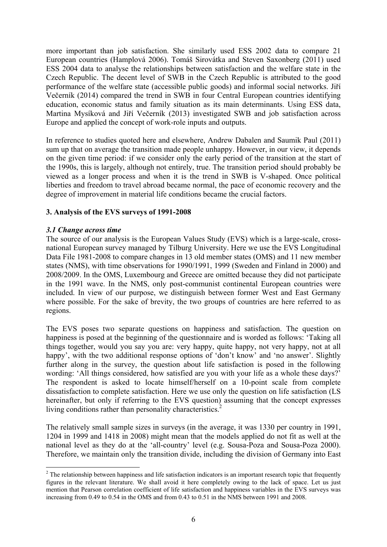more important than job satisfaction. She similarly used ESS 2002 data to compare 21 European countries (Hamplová 2006). Tomáš Sirovátka and Steven Saxonberg (2011) used ESS 2004 data to analyse the relationships between satisfaction and the welfare state in the Czech Republic. The decent level of SWB in the Czech Republic is attributed to the good performance of the welfare state (accessible public goods) and informal social networks. Jiří Večerník (2014) compared the trend in SWB in four Central European countries identifying education, economic status and family situation as its main determinants. Using ESS data, Martina Mysíková and Jiří Večerník (2013) investigated SWB and job satisfaction across Europe and applied the concept of work-role inputs and outputs.

In reference to studies quoted here and elsewhere, Andrew Dabalen and Saumik Paul (2011) sum up that on average the transition made people unhappy. However, in our view, it depends on the given time period: if we consider only the early period of the transition at the start of the 1990s, this is largely, although not entirely, true. The transition period should probably be viewed as a longer process and when it is the trend in SWB is V-shaped. Once political liberties and freedom to travel abroad became normal, the pace of economic recovery and the degree of improvement in material life conditions became the crucial factors.

#### **3. Analysis of the EVS surveys of 1991-2008**

#### *3.1 Change across time*

1

The source of our analysis is the European Values Study (EVS) which is a large-scale, crossnational European survey managed by Tilburg University. Here we use the EVS Longitudinal Data File 1981-2008 to compare changes in 13 old member states (OMS) and 11 new member states (NMS), with time observations for 1990/1991, 1999 (Sweden and Finland in 2000) and 2008/2009. In the OMS, Luxembourg and Greece are omitted because they did not participate in the 1991 wave. In the NMS, only post-communist continental European countries were included. In view of our purpose, we distinguish between former West and East Germany where possible. For the sake of brevity, the two groups of countries are here referred to as regions.

The EVS poses two separate questions on happiness and satisfaction. The question on happiness is posed at the beginning of the questionnaire and is worded as follows: 'Taking all things together, would you say you are: very happy, quite happy, not very happy, not at all happy', with the two additional response options of 'don't know' and 'no answer'. Slightly further along in the survey, the question about life satisfaction is posed in the following wording: 'All things considered, how satisfied are you with your life as a whole these days?' The respondent is asked to locate himself/herself on a 10-point scale from complete dissatisfaction to complete satisfaction. Here we use only the question on life satisfaction (LS hereinafter, but only if referring to the EVS question) assuming that the concept expresses living conditions rather than personality characteristics.<sup>2</sup>

The relatively small sample sizes in surveys (in the average, it was 1330 per country in 1991, 1204 in 1999 and 1418 in 2008) might mean that the models applied do not fit as well at the national level as they do at the 'all-country' level (e.g. Sousa-Poza and Sousa-Poza 2000). Therefore, we maintain only the transition divide, including the division of Germany into East

 $2$  The relationship between happiness and life satisfaction indicators is an important research topic that frequently figures in the relevant literature. We shall avoid it here completely owing to the lack of space. Let us just mention that Pearson correlation coefficient of life satisfaction and happiness variables in the EVS surveys was increasing from 0.49 to 0.54 in the OMS and from 0.43 to 0.51 in the NMS between 1991 and 2008.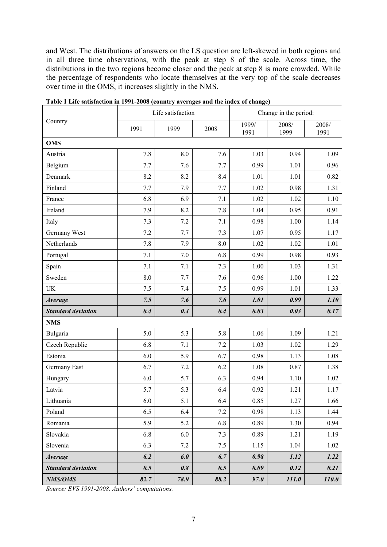and West. The distributions of answers on the LS question are left-skewed in both regions and in all three time observations, with the peak at step 8 of the scale. Across time, the distributions in the two regions become closer and the peak at step 8 is more crowded. While the percentage of respondents who locate themselves at the very top of the scale decreases over time in the OMS, it increases slightly in the NMS.

|                           |      | Life satisfaction |         | Change in the period: |               |               |
|---------------------------|------|-------------------|---------|-----------------------|---------------|---------------|
| Country                   | 1991 | 1999              | 2008    | 1999/<br>1991         | 2008/<br>1999 | 2008/<br>1991 |
| <b>OMS</b>                |      |                   |         |                       |               |               |
| Austria                   | 7.8  | 8.0               | 7.6     | 1.03                  | 0.94          | 1.09          |
| Belgium                   | 7.7  | 7.6               | 7.7     | 0.99                  | 1.01          | 0.96          |
| Denmark                   | 8.2  | 8.2               | 8.4     | 1.01                  | 1.01          | 0.82          |
| Finland                   | 7.7  | 7.9               | 7.7     | 1.02                  | 0.98          | 1.31          |
| France                    | 6.8  | 6.9               | 7.1     | 1.02                  | 1.02          | 1.10          |
| Ireland                   | 7.9  | 8.2               | 7.8     | 1.04                  | 0.95          | 0.91          |
| Italy                     | 7.3  | 7.2               | 7.1     | 0.98                  | 1.00          | 1.14          |
| Germany West              | 7.2  | 7.7               | 7.3     | 1.07                  | 0.95          | 1.17          |
| Netherlands               | 7.8  | 7.9               | 8.0     | 1.02                  | 1.02          | 1.01          |
| Portugal                  | 7.1  | 7.0               | 6.8     | 0.99                  | 0.98          | 0.93          |
| Spain                     | 7.1  | 7.1               | 7.3     | 1.00                  | 1.03          | 1.31          |
| Sweden                    | 8.0  | 7.7               | 7.6     | 0.96                  | 1.00          | 1.22          |
| UK                        | 7.5  | 7.4               | 7.5     | 0.99                  | 1.01          | 1.33          |
| Average                   | 7.5  | 7.6               | 7.6     | 1.01                  | 0.99          | 1.10          |
| <b>Standard deviation</b> | 0.4  | 0.4               | 0.4     | 0.03                  | 0.03          | 0.17          |
| <b>NMS</b>                |      |                   |         |                       |               |               |
| Bulgaria                  | 5.0  | 5.3               | 5.8     | 1.06                  | 1.09          | 1.21          |
| Czech Republic            | 6.8  | 7.1               | 7.2     | 1.03                  | 1.02          | 1.29          |
| Estonia                   | 6.0  | 5.9               | 6.7     | 0.98                  | 1.13          | 1.08          |
| Germany East              | 6.7  | 7.2               | 6.2     | 1.08                  | 0.87          | 1.38          |
| Hungary                   | 6.0  | 5.7               | 6.3     | 0.94                  | 1.10          | 1.02          |
| Latvia                    | 5.7  | 5.3               | 6.4     | 0.92                  | 1.21          | 1.17          |
| Lithuania                 | 6.0  | 5.1               | 6.4     | 0.85                  | 1.27          | 1.66          |
| Poland                    | 6.5  | 6.4               | $7.2\,$ | 0.98                  | 1.13          | 1.44          |
| Romania                   | 5.9  | 5.2               | 6.8     | 0.89                  | 1.30          | 0.94          |
| Slovakia                  | 6.8  | 6.0               | 7.3     | 0.89                  | 1.21          | 1.19          |
| Slovenia                  | 6.3  | 7.2               | 7.5     | 1.15                  | 1.04          | 1.02          |
| <b>Average</b>            | 6.2  | 6.0               | 6.7     | 0.98                  | 1.12          | 1.22          |
| <b>Standard deviation</b> | 0.5  | 0.8               | 0.5     | 0.09                  | 0.12          | 0.21          |
| NMS/OMS                   | 82.7 | 78.9              | 88.2    | 97.0                  | 111.0         | <b>110.0</b>  |

**Table 1 Life satisfaction in 1991-2008 (country averages and the index of change)** 

*Source: EVS 1991-2008. Authors' computations.*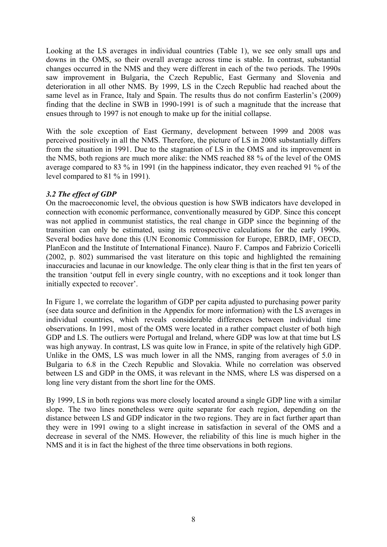Looking at the LS averages in individual countries (Table 1), we see only small ups and downs in the OMS, so their overall average across time is stable. In contrast, substantial changes occurred in the NMS and they were different in each of the two periods. The 1990s saw improvement in Bulgaria, the Czech Republic, East Germany and Slovenia and deterioration in all other NMS. By 1999, LS in the Czech Republic had reached about the same level as in France, Italy and Spain. The results thus do not confirm Easterlin's (2009) finding that the decline in SWB in 1990-1991 is of such a magnitude that the increase that ensues through to 1997 is not enough to make up for the initial collapse.

With the sole exception of East Germany, development between 1999 and 2008 was perceived positively in all the NMS. Therefore, the picture of LS in 2008 substantially differs from the situation in 1991. Due to the stagnation of LS in the OMS and its improvement in the NMS, both regions are much more alike: the NMS reached 88 % of the level of the OMS average compared to 83 % in 1991 (in the happiness indicator, they even reached 91 % of the level compared to 81 % in 1991).

#### *3.2 The effect of GDP*

On the macroeconomic level, the obvious question is how SWB indicators have developed in connection with economic performance, conventionally measured by GDP. Since this concept was not applied in communist statistics, the real change in GDP since the beginning of the transition can only be estimated, using its retrospective calculations for the early 1990s. Several bodies have done this (UN Economic Commission for Europe, EBRD, IMF, OECD, PlanEcon and the Institute of International Finance). Nauro F. Campos and Fabrizio Coricelli (2002, p. 802) summarised the vast literature on this topic and highlighted the remaining inaccuracies and lacunae in our knowledge. The only clear thing is that in the first ten years of the transition 'output fell in every single country, with no exceptions and it took longer than initially expected to recover'.

In Figure 1, we correlate the logarithm of GDP per capita adjusted to purchasing power parity (see data source and definition in the Appendix for more information) with the LS averages in individual countries, which reveals considerable differences between individual time observations. In 1991, most of the OMS were located in a rather compact cluster of both high GDP and LS. The outliers were Portugal and Ireland, where GDP was low at that time but LS was high anyway. In contrast, LS was quite low in France, in spite of the relatively high GDP. Unlike in the OMS, LS was much lower in all the NMS, ranging from averages of 5.0 in Bulgaria to 6.8 in the Czech Republic and Slovakia. While no correlation was observed between LS and GDP in the OMS, it was relevant in the NMS, where LS was dispersed on a long line very distant from the short line for the OMS.

By 1999, LS in both regions was more closely located around a single GDP line with a similar slope. The two lines nonetheless were quite separate for each region, depending on the distance between LS and GDP indicator in the two regions. They are in fact further apart than they were in 1991 owing to a slight increase in satisfaction in several of the OMS and a decrease in several of the NMS. However, the reliability of this line is much higher in the NMS and it is in fact the highest of the three time observations in both regions.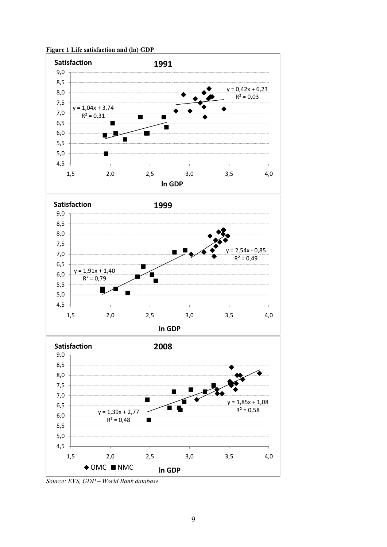

**Figure 1 Life satisfaction and (ln) GDP** 

*Source: EVS, GDP – World Bank database.*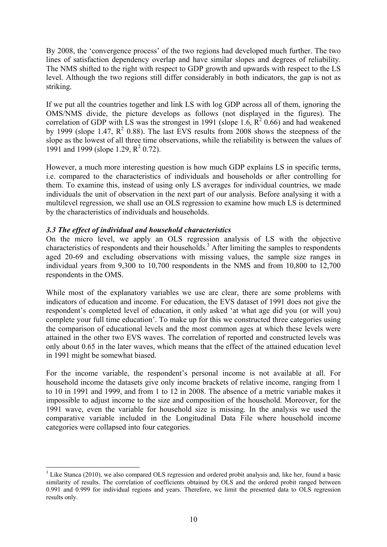By 2008, the 'convergence process' of the two regions had developed much further. The two lines of satisfaction dependency overlap and have similar slopes and degrees of reliability. The NMS shifted to the right with respect to GDP growth and upwards with respect to the LS level. Although the two regions still differ considerably in both indicators, the gap is not as striking.

If we put all the countries together and link LS with log GDP across all of them, ignoring the OMS/NMS divide, the picture develops as follows (not displayed in the figures). The correlation of GDP with LS was the strongest in 1991 (slope 1.6,  $\mathbb{R}^2$  0.66) and had weakened by 1999 (slope 1.47,  $R^2$  0.88). The last EVS results from 2008 shows the steepness of the slope as the lowest of all three time observations, while the reliability is between the values of 1991 and 1999 (slope 1.29,  $R^2$  0.72).

However, a much more interesting question is how much GDP explains LS in specific terms, i.e. compared to the characteristics of individuals and households or after controlling for them. To examine this, instead of using only LS averages for individual countries, we made individuals the unit of observation in the next part of our analysis. Before analysing it with a multilevel regression, we shall use an OLS regression to examine how much LS is determined by the characteristics of individuals and households.

#### *3.3 The effect of individual and household characteristics*

1

On the micro level, we apply an OLS regression analysis of LS with the objective characteristics of respondents and their households.<sup>3</sup> After limiting the samples to respondents aged 20-69 and excluding observations with missing values, the sample size ranges in individual years from 9,300 to 10,700 respondents in the NMS and from 10,800 to 12,700 respondents in the OMS.

While most of the explanatory variables we use are clear, there are some problems with indicators of education and income. For education, the EVS dataset of 1991 does not give the respondent's completed level of education, it only asked 'at what age did you (or will you) complete your full time education'. To make up for this we constructed three categories using the comparison of educational levels and the most common ages at which these levels were attained in the other two EVS waves. The correlation of reported and constructed levels was only about 0.65 in the later waves, which means that the effect of the attained education level in 1991 might be somewhat biased.

For the income variable, the respondent's personal income is not available at all. For household income the datasets give only income brackets of relative income, ranging from 1 to 10 in 1991 and 1999, and from 1 to 12 in 2008. The absence of a metric variable makes it impossible to adjust income to the size and composition of the household. Moreover, for the 1991 wave, even the variable for household size is missing. In the analysis we used the comparative variable included in the Longitudinal Data File where household income categories were collapsed into four categories.

<sup>&</sup>lt;sup>3</sup> Like Stanca (2010), we also compared OLS regression and ordered probit analysis and, like her, found a basic similarity of results. The correlation of coefficients obtained by OLS and the ordered probit ranged between 0.991 and 0.999 for individual regions and years. Therefore, we limit the presented data to OLS regression results only.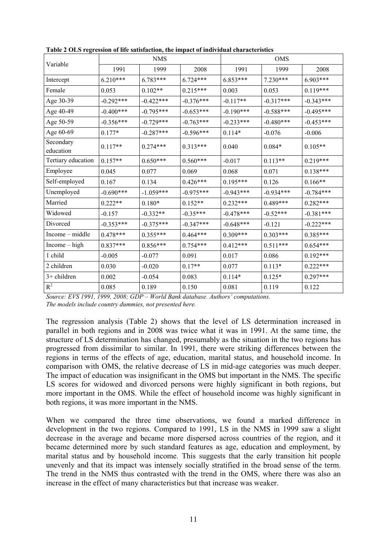|                        |             | <b>NMS</b>  |             | <b>OMS</b>  |             |             |  |
|------------------------|-------------|-------------|-------------|-------------|-------------|-------------|--|
| Variable               | 1991        | 1999        | 2008        | 1991        | 1999        | 2008        |  |
| Intercept              | $6.210***$  | $6.783***$  | $6.724***$  | $6.853***$  | $7.230***$  | $6.903***$  |  |
| Female                 | 0.053       | $0.102**$   | $0.215***$  | 0.003       | 0.053       | $0.119***$  |  |
| Age 30-39              | $-0.292***$ | $-0.422***$ | $-0.376***$ | $-0.117**$  | $-0.317***$ | $-0.343***$ |  |
| Age 40-49              | $-0.400***$ | $-0.795***$ | $-0.653***$ | $-0.190***$ | $-0.588***$ | $-0.495***$ |  |
| Age 50-59              | $-0.356***$ | $-0.729***$ | $-0.763***$ | $-0.233***$ | $-0.480***$ | $-0.453***$ |  |
| Age 60-69              | $0.177*$    | $-0.287***$ | $-0.596***$ | $0.114*$    | $-0.076$    | $-0.006$    |  |
| Secondary<br>education | $0.117**$   | $0.274***$  | $0.313***$  | 0.040       | $0.084*$    | $0.105**$   |  |
| Tertiary education     | $0.157**$   | $0.650***$  | $0.560***$  | $-0.017$    | $0.113**$   | $0.219***$  |  |
| Employee               | 0.045       | 0.077       | 0.069       | 0.068       | 0.071       | $0.138***$  |  |
| Self-employed          | 0.167       | 0.134       | $0.426***$  | $0.195***$  | 0.126       | $0.166**$   |  |
| Unemployed             | $-0.690***$ | $-1.059***$ | $-0.975***$ | $-0.943***$ | $-0.934***$ | $-0.784***$ |  |
| Married                | $0.222**$   | $0.180*$    | $0.152**$   | $0.232***$  | $0.489***$  | $0.282***$  |  |
| Widowed                | $-0.157$    | $-0.332**$  | $-0.35***$  | $-0.478***$ | $-0.52***$  | $-0.381***$ |  |
| Divorced               | $-0.353***$ | $-0.375***$ | $-0.347***$ | $-0.648***$ | $-0.121$    | $-0.222***$ |  |
| $Income - middle$      | $0.478***$  | $0.355***$  | $0.464***$  | $0.309***$  | $0.303***$  | $0.385***$  |  |
| $Income - high$        | $0.837***$  | $0.856***$  | $0.754***$  | $0.412***$  | $0.511***$  | $0.654***$  |  |
| 1 child                | $-0.005$    | $-0.077$    | 0.091       | 0.017       | 0.086       | $0.192***$  |  |
| 2 children             | 0.030       | $-0.020$    | $0.17**$    | 0.077       | $0.113*$    | $0.222***$  |  |
| $3+$ children          | 0.002       | $-0.054$    | 0.083       | $0.114*$    | $0.125*$    | $0.297***$  |  |
| $R^2$                  | 0.085       | 0.189       | 0.150       | 0.081       | 0.119       | 0.122       |  |

**Table 2 OLS regression of life satisfaction, the impact of individual characteristics** 

*Source: EVS 1991, 1999, 2008; GDP – World Bank database. Authors' computations. The models include country dummies, not presented here.* 

The regression analysis (Table 2) shows that the level of LS determination increased in parallel in both regions and in 2008 was twice what it was in 1991. At the same time, the structure of LS determination has changed, presumably as the situation in the two regions has progressed from dissimilar to similar. In 1991, there were striking differences between the regions in terms of the effects of age, education, marital status, and household income. In comparison with OMS, the relative decrease of LS in mid-age categories was much deeper. The impact of education was insignificant in the OMS but important in the NMS. The specific LS scores for widowed and divorced persons were highly significant in both regions, but more important in the OMS. While the effect of household income was highly significant in both regions, it was more important in the NMS.

When we compared the three time observations, we found a marked difference in development in the two regions. Compared to 1991, LS in the NMS in 1999 saw a slight decrease in the average and became more dispersed across countries of the region, and it became determined more by such standard features as age, education and employment, by marital status and by household income. This suggests that the early transition hit people unevenly and that its impact was intensely socially stratified in the broad sense of the term. The trend in the NMS thus contrasted with the trend in the OMS, where there was also an increase in the effect of many characteristics but that increase was weaker.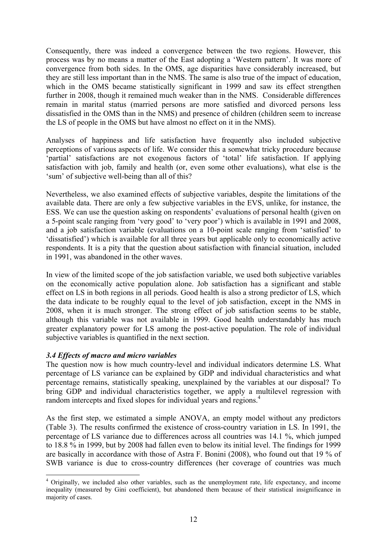Consequently, there was indeed a convergence between the two regions. However, this process was by no means a matter of the East adopting a 'Western pattern'. It was more of convergence from both sides. In the OMS, age disparities have considerably increased, but they are still less important than in the NMS. The same is also true of the impact of education, which in the OMS became statistically significant in 1999 and saw its effect strengthen further in 2008, though it remained much weaker than in the NMS. Considerable differences remain in marital status (married persons are more satisfied and divorced persons less dissatisfied in the OMS than in the NMS) and presence of children (children seem to increase the LS of people in the OMS but have almost no effect on it in the NMS).

Analyses of happiness and life satisfaction have frequently also included subjective perceptions of various aspects of life. We consider this a somewhat tricky procedure because 'partial' satisfactions are not exogenous factors of 'total' life satisfaction. If applying satisfaction with job, family and health (or, even some other evaluations), what else is the 'sum' of subjective well-being than all of this?

Nevertheless, we also examined effects of subjective variables, despite the limitations of the available data. There are only a few subjective variables in the EVS, unlike, for instance, the ESS. We can use the question asking on respondents' evaluations of personal health (given on a 5-point scale ranging from 'very good' to 'very poor') which is available in 1991 and 2008, and a job satisfaction variable (evaluations on a 10-point scale ranging from 'satisfied' to 'dissatisfied') which is available for all three years but applicable only to economically active respondents. It is a pity that the question about satisfaction with financial situation, included in 1991, was abandoned in the other waves.

In view of the limited scope of the job satisfaction variable, we used both subjective variables on the economically active population alone. Job satisfaction has a significant and stable effect on LS in both regions in all periods. Good health is also a strong predictor of LS, which the data indicate to be roughly equal to the level of job satisfaction, except in the NMS in 2008, when it is much stronger. The strong effect of job satisfaction seems to be stable, although this variable was not available in 1999. Good health understandably has much greater explanatory power for LS among the post-active population. The role of individual subjective variables is quantified in the next section.

#### *3.4 Effects of macro and micro variables*

1

The question now is how much country-level and individual indicators determine LS. What percentage of LS variance can be explained by GDP and individual characteristics and what percentage remains, statistically speaking, unexplained by the variables at our disposal? To bring GDP and individual characteristics together, we apply a multilevel regression with random intercepts and fixed slopes for individual years and regions.<sup>4</sup>

As the first step, we estimated a simple ANOVA, an empty model without any predictors (Table 3). The results confirmed the existence of cross-country variation in LS. In 1991, the percentage of LS variance due to differences across all countries was 14.1 %, which jumped to 18.8 % in 1999, but by 2008 had fallen even to below its initial level. The findings for 1999 are basically in accordance with those of Astra F. Bonini (2008), who found out that 19 % of SWB variance is due to cross-country differences (her coverage of countries was much

<sup>&</sup>lt;sup>4</sup> Originally, we included also other variables, such as the unemployment rate, life expectancy, and income inequality (measured by Gini coefficient), but abandoned them because of their statistical insignificance in majority of cases.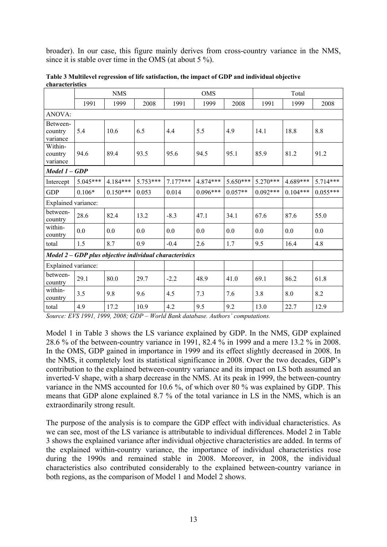broader). In our case, this figure mainly derives from cross-country variance in the NMS, since it is stable over time in the OMS (at about 5 %).

|                                 | <b>NMS</b> |            | <b>OMS</b>                                              |            |            | Total      |            |            |            |
|---------------------------------|------------|------------|---------------------------------------------------------|------------|------------|------------|------------|------------|------------|
|                                 | 1991       | 1999       | 2008                                                    | 1991       | 1999       | 2008       | 1991       | 1999       | 2008       |
| <b>ANOVA:</b>                   |            |            |                                                         |            |            |            |            |            |            |
| Between-<br>country<br>variance | 5.4        | 10.6       | 6.5                                                     | 4.4        | 5.5        | 4.9        | 14.1       | 18.8       | 8.8        |
| Within-<br>country<br>variance  | 94.6       | 89.4       | 93.5                                                    | 95.6       | 94.5       | 95.1       | 85.9       | 81.2       | 91.2       |
| Model 1 - GDP                   |            |            |                                                         |            |            |            |            |            |            |
| Intercept                       | $5.045***$ | $4.184***$ | $5.753***$                                              | $7.177***$ | 4.874***   | $5.650***$ | $5.270***$ | 4.689***   | 5.714***   |
| <b>GDP</b>                      | $0.106*$   | $0.150***$ | 0.053                                                   | 0.014      | $0.096***$ | $0.057**$  | $0.092***$ | $0.104***$ | $0.055***$ |
| Explained variance:             |            |            |                                                         |            |            |            |            |            |            |
| between-<br>country             | 28.6       | 82.4       | 13.2                                                    | $-8.3$     | 47.1       | 34.1       | 67.6       | 87.6       | 55.0       |
| within-<br>country              | 0.0        | 0.0        | 0.0                                                     | 0.0        | 0.0        | 0.0        | 0.0        | 0.0        | 0.0        |
| total                           | 1.5        | 8.7        | 0.9                                                     | $-0.4$     | 2.6        | 1.7        | 9.5        | 16.4       | 4.8        |
|                                 |            |            | Model 2 - GDP plus objective individual characteristics |            |            |            |            |            |            |
| Explained variance:             |            |            |                                                         |            |            |            |            |            |            |
| between-<br>country             | 29.1       | 80.0       | 29.7                                                    | $-2.2$     | 48.9       | 41.0       | 69.1       | 86.2       | 61.8       |
| within-<br>country              | 3.5        | 9.8        | 9.6                                                     | 4.5        | 7.3        | 7.6        | 3.8        | 8.0        | 8.2        |
| total                           | 4.9        | 17.2       | 10.9                                                    | 4.2        | 9.5        | 9.2        | 13.0       | 22.7       | 12.9       |

**Table 3 Multilevel regression of life satisfaction, the impact of GDP and individual objective characteristics** 

*Source: EVS 1991, 1999, 2008; GDP – World Bank database. Authors' computations.* 

Model 1 in Table 3 shows the LS variance explained by GDP. In the NMS, GDP explained 28.6 % of the between-country variance in 1991, 82.4 % in 1999 and a mere 13.2 % in 2008. In the OMS, GDP gained in importance in 1999 and its effect slightly decreased in 2008. In the NMS, it completely lost its statistical significance in 2008. Over the two decades, GDP's contribution to the explained between-country variance and its impact on LS both assumed an inverted-V shape, with a sharp decrease in the NMS. At its peak in 1999, the between-country variance in the NMS accounted for 10.6 %, of which over 80 % was explained by GDP. This means that GDP alone explained 8.7 % of the total variance in LS in the NMS, which is an extraordinarily strong result.

The purpose of the analysis is to compare the GDP effect with individual characteristics. As we can see, most of the LS variance is attributable to individual differences. Model 2 in Table 3 shows the explained variance after individual objective characteristics are added. In terms of the explained within-country variance, the importance of individual characteristics rose during the 1990s and remained stable in 2008. Moreover, in 2008, the individual characteristics also contributed considerably to the explained between-country variance in both regions, as the comparison of Model 1 and Model 2 shows.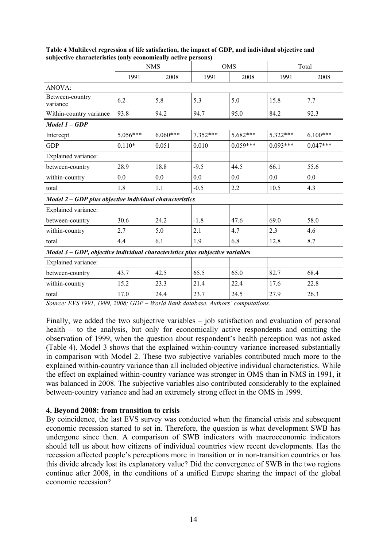|                                                                               | <b>NMS</b> |            |            | <b>OMS</b> | Total      |            |  |
|-------------------------------------------------------------------------------|------------|------------|------------|------------|------------|------------|--|
|                                                                               | 1991       | 2008       | 1991       | 2008       | 1991       | 2008       |  |
| ANOVA:                                                                        |            |            |            |            |            |            |  |
| Between-country<br>variance                                                   | 6.2        | 5.8        | 5.3        | 5.0        | 15.8       | 7.7        |  |
| Within-country variance                                                       | 93.8       | 94.2       | 94.7       | 95.0       | 84.2       | 92.3       |  |
| Model 1 – GDP                                                                 |            |            |            |            |            |            |  |
| Intercept                                                                     | $5.056***$ | $6.060***$ | $7.352***$ | $5.682***$ | $5.322***$ | $6.100***$ |  |
| <b>GDP</b>                                                                    | $0.110*$   | 0.051      | 0.010      | $0.059***$ | $0.093***$ | $0.047***$ |  |
| Explained variance:                                                           |            |            |            |            |            |            |  |
| between-country                                                               | 28.9       | 18.8       | $-9.5$     | 44.5       | 66.1       | 55.6       |  |
| within-country                                                                | 0.0        | 0.0        | 0.0        | 0.0        | 0.0        | 0.0        |  |
| total                                                                         | 1.8        | 1.1        | $-0.5$     | 2.2        | 10.5       | 4.3        |  |
| Model 2 - GDP plus objective individual characteristics                       |            |            |            |            |            |            |  |
| Explained variance:                                                           |            |            |            |            |            |            |  |
| between-country                                                               | 30.6       | 24.2       | $-1.8$     | 47.6       | 69.0       | 58.0       |  |
| within-country                                                                | 2.7        | 5.0        | 2.1        | 4.7        | 2.3        | 4.6        |  |
| total                                                                         | 4.4        | 6.1        | 1.9        | 6.8        | 12.8       | 8.7        |  |
| Model 3 - GDP, objective individual characteristics plus subjective variables |            |            |            |            |            |            |  |
| Explained variance:                                                           |            |            |            |            |            |            |  |
| between-country                                                               | 43.7       | 42.5       | 65.5       | 65.0       | 82.7       | 68.4       |  |
| within-country                                                                | 15.2       | 23.3       | 21.4       | 22.4       | 17.6       | 22.8       |  |
| total                                                                         | 17.0       | 24.4       | 23.7       | 24.5       | 27.9       | 26.3       |  |

**Table 4 Multilevel regression of life satisfaction, the impact of GDP, and individual objective and subjective characteristics (only economically active persons)** 

*Source: EVS 1991, 1999, 2008; GDP – World Bank database. Authors' computations.* 

Finally, we added the two subjective variables – job satisfaction and evaluation of personal health – to the analysis, but only for economically active respondents and omitting the observation of 1999, when the question about respondent's health perception was not asked (Table 4). Model 3 shows that the explained within-country variance increased substantially in comparison with Model 2. These two subjective variables contributed much more to the explained within-country variance than all included objective individual characteristics. While the effect on explained within-country variance was stronger in OMS than in NMS in 1991, it was balanced in 2008. The subjective variables also contributed considerably to the explained between-country variance and had an extremely strong effect in the OMS in 1999.

#### **4. Beyond 2008: from transition to crisis**

By coincidence, the last EVS survey was conducted when the financial crisis and subsequent economic recession started to set in. Therefore, the question is what development SWB has undergone since then. A comparison of SWB indicators with macroeconomic indicators should tell us about how citizens of individual countries view recent developments. Has the recession affected people's perceptions more in transition or in non-transition countries or has this divide already lost its explanatory value? Did the convergence of SWB in the two regions continue after 2008, in the conditions of a unified Europe sharing the impact of the global economic recession?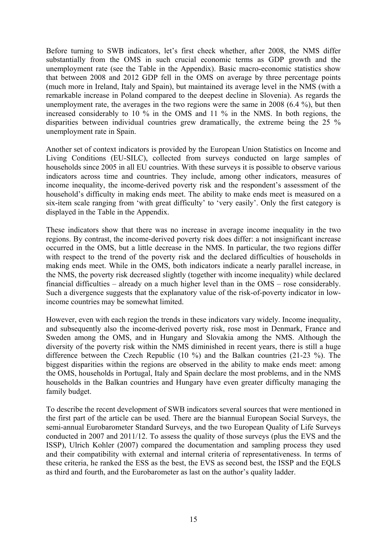Before turning to SWB indicators, let's first check whether, after 2008, the NMS differ substantially from the OMS in such crucial economic terms as GDP growth and the unemployment rate (see the Table in the Appendix). Basic macro-economic statistics show that between 2008 and 2012 GDP fell in the OMS on average by three percentage points (much more in Ireland, Italy and Spain), but maintained its average level in the NMS (with a remarkable increase in Poland compared to the deepest decline in Slovenia). As regards the unemployment rate, the averages in the two regions were the same in 2008 (6.4 %), but then increased considerably to 10 % in the OMS and 11 % in the NMS. In both regions, the disparities between individual countries grew dramatically, the extreme being the 25 % unemployment rate in Spain.

Another set of context indicators is provided by the European Union Statistics on Income and Living Conditions (EU-SILC), collected from surveys conducted on large samples of households since 2005 in all EU countries. With these surveys it is possible to observe various indicators across time and countries. They include, among other indicators, measures of income inequality, the income-derived poverty risk and the respondent's assessment of the household's difficulty in making ends meet. The ability to make ends meet is measured on a six-item scale ranging from 'with great difficulty' to 'very easily'. Only the first category is displayed in the Table in the Appendix.

These indicators show that there was no increase in average income inequality in the two regions. By contrast, the income-derived poverty risk does differ: a not insignificant increase occurred in the OMS, but a little decrease in the NMS. In particular, the two regions differ with respect to the trend of the poverty risk and the declared difficulties of households in making ends meet. While in the OMS, both indicators indicate a nearly parallel increase, in the NMS, the poverty risk decreased slightly (together with income inequality) while declared financial difficulties – already on a much higher level than in the OMS – rose considerably. Such a divergence suggests that the explanatory value of the risk-of-poverty indicator in lowincome countries may be somewhat limited.

However, even with each region the trends in these indicators vary widely. Income inequality, and subsequently also the income-derived poverty risk, rose most in Denmark, France and Sweden among the OMS, and in Hungary and Slovakia among the NMS. Although the diversity of the poverty risk within the NMS diminished in recent years, there is still a huge difference between the Czech Republic (10 %) and the Balkan countries (21-23 %). The biggest disparities within the regions are observed in the ability to make ends meet: among the OMS, households in Portugal, Italy and Spain declare the most problems, and in the NMS households in the Balkan countries and Hungary have even greater difficulty managing the family budget.

To describe the recent development of SWB indicators several sources that were mentioned in the first part of the article can be used. There are the biannual European Social Surveys, the semi-annual Eurobarometer Standard Surveys, and the two European Quality of Life Surveys conducted in 2007 and 2011/12. To assess the quality of those surveys (plus the EVS and the ISSP), Ulrich Kohler (2007) compared the documentation and sampling process they used and their compatibility with external and internal criteria of representativeness. In terms of these criteria, he ranked the ESS as the best, the EVS as second best, the ISSP and the EQLS as third and fourth, and the Eurobarometer as last on the author's quality ladder.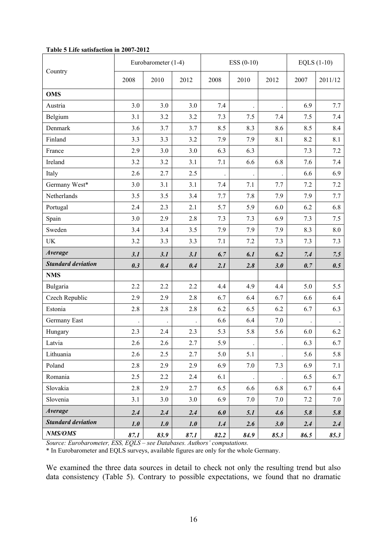|                           |      | Eurobarometer (1-4) |      |      | $ESS (0-10)$         |                      |      | EQLS $(1-10)$ |  |  |
|---------------------------|------|---------------------|------|------|----------------------|----------------------|------|---------------|--|--|
| Country                   | 2008 | 2010                | 2012 | 2008 | 2010                 | 2012                 | 2007 | 2011/12       |  |  |
| <b>OMS</b>                |      |                     |      |      |                      |                      |      |               |  |  |
| Austria                   | 3.0  | 3.0                 | 3.0  | 7.4  |                      |                      | 6.9  | 7.7           |  |  |
| Belgium                   | 3.1  | 3.2                 | 3.2  | 7.3  | 7.5                  | 7.4                  | 7.5  | 7.4           |  |  |
| Denmark                   | 3.6  | 3.7                 | 3.7  | 8.5  | 8.3                  | 8.6                  | 8.5  | 8.4           |  |  |
| Finland                   | 3.3  | 3.3                 | 3.2  | 7.9  | 7.9                  | 8.1                  | 8.2  | 8.1           |  |  |
| France                    | 2.9  | 3.0                 | 3.0  | 6.3  | 6.3                  |                      | 7.3  | 7.2           |  |  |
| Ireland                   | 3.2  | 3.2                 | 3.1  | 7.1  | 6.6                  | 6.8                  | 7.6  | 7.4           |  |  |
| Italy                     | 2.6  | 2.7                 | 2.5  |      |                      |                      | 6.6  | 6.9           |  |  |
| Germany West*             | 3.0  | 3.1                 | 3.1  | 7.4  | 7.1                  | 7.7                  | 7.2  | 7.2           |  |  |
| Netherlands               | 3.5  | 3.5                 | 3.4  | 7.7  | 7.8                  | 7.9                  | 7.9  | 7.7           |  |  |
| Portugal                  | 2.4  | 2.3                 | 2.1  | 5.7  | 5.9                  | 6.0                  | 6.2  | 6.8           |  |  |
| Spain                     | 3.0  | 2.9                 | 2.8  | 7.3  | 7.3                  | 6.9                  | 7.3  | 7.5           |  |  |
| Sweden                    | 3.4  | 3.4                 | 3.5  | 7.9  | 7.9                  | 7.9                  | 8.3  | 8.0           |  |  |
| <b>UK</b>                 | 3.2  | 3.3                 | 3.3  | 7.1  | 7.2                  | 7.3                  | 7.3  | 7.3           |  |  |
| <b>Average</b>            | 3.1  | 3.1                 | 3.1  | 6.7  | 6.1                  | 6.2                  | 7.4  | 7.5           |  |  |
| <b>Standard deviation</b> | 0.3  | 0.4                 | 0.4  | 2.1  | 2.8                  | 3.0                  | 0.7  | 0.5           |  |  |
| <b>NMS</b>                |      |                     |      |      |                      |                      |      |               |  |  |
| Bulgaria                  | 2.2  | 2.2                 | 2.2  | 4.4  | 4.9                  | 4.4                  | 5.0  | 5.5           |  |  |
| Czech Republic            | 2.9  | 2.9                 | 2.8  | 6.7  | 6.4                  | 6.7                  | 6.6  | 6.4           |  |  |
| Estonia                   | 2.8  | 2.8                 | 2.8  | 6.2  | 6.5                  | 6.2                  | 6.7  | 6.3           |  |  |
| Germany East              |      |                     |      | 6.6  | 6.4                  | 7.0                  |      |               |  |  |
| Hungary                   | 2.3  | 2.4                 | 2.3  | 5.3  | 5.8                  | 5.6                  | 6.0  | 6.2           |  |  |
| Latvia                    | 2.6  | 2.6                 | 2.7  | 5.9  |                      |                      | 6.3  | 6.7           |  |  |
| Lithuania                 | 2.6  | 2.5                 | 2.7  | 5.0  | 5.1                  |                      | 5.6  | 5.8           |  |  |
| Poland                    | 2.8  | 2.9                 | 2.9  | 6.9  | 7.0                  | 7.3                  | 6.9  | 7.1           |  |  |
| Romania                   | 2.5  | $2.2\,$             | 2.4  | 6.1  | $\ddot{\phantom{a}}$ | $\ddot{\phantom{0}}$ | 6.5  | 6.7           |  |  |
| Slovakia                  | 2.8  | 2.9                 | 2.7  | 6.5  | 6.6                  | 6.8                  | 6.7  | 6.4           |  |  |
| Slovenia                  | 3.1  | 3.0                 | 3.0  | 6.9  | 7.0                  | 7.0                  | 7.2  | 7.0           |  |  |
| <b>Average</b>            | 2.4  | 2.4                 | 2.4  | 6.0  | 5.1                  | 4.6                  | 5.8  | 5.8           |  |  |
| <b>Standard deviation</b> | 1.0  | 1.0                 | 1.0  | 1.4  | 2.6                  | 3.0                  | 2.4  | 2.4           |  |  |
| NMS/OMS                   | 87.1 | 83.9                | 87.1 | 82.2 | 84.9                 | 85.3                 | 86.5 | 85.3          |  |  |

#### **Table 5 Life satisfaction in 2007-2012**

*Source: Eurobarometer, ESS, EQLS – see Databases. Authors' computations.* 

\* In Eurobarometer and EQLS surveys, available figures are only for the whole Germany.

We examined the three data sources in detail to check not only the resulting trend but also data consistency (Table 5). Contrary to possible expectations, we found that no dramatic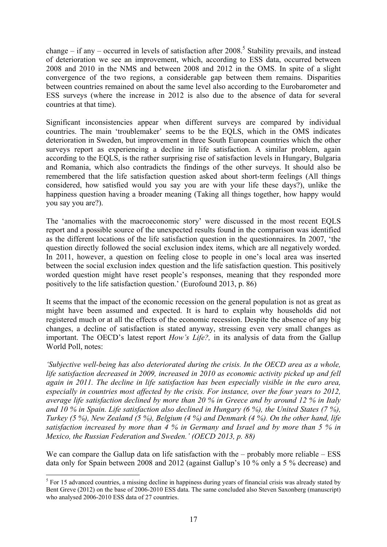change – if any – occurred in levels of satisfaction after  $2008$ <sup>5</sup> Stability prevails, and instead of deterioration we see an improvement, which, according to ESS data, occurred between 2008 and 2010 in the NMS and between 2008 and 2012 in the OMS. In spite of a slight convergence of the two regions, a considerable gap between them remains. Disparities between countries remained on about the same level also according to the Eurobarometer and ESS surveys (where the increase in 2012 is also due to the absence of data for several countries at that time).

Significant inconsistencies appear when different surveys are compared by individual countries. The main 'troublemaker' seems to be the EQLS, which in the OMS indicates deterioration in Sweden, but improvement in three South European countries which the other surveys report as experiencing a decline in life satisfaction. A similar problem, again according to the EQLS, is the rather surprising rise of satisfaction levels in Hungary, Bulgaria and Romania, which also contradicts the findings of the other surveys. It should also be remembered that the life satisfaction question asked about short-term feelings (All things considered, how satisfied would you say you are with your life these days?), unlike the happiness question having a broader meaning (Taking all things together, how happy would you say you are?).

The 'anomalies with the macroeconomic story' were discussed in the most recent EQLS report and a possible source of the unexpected results found in the comparison was identified as the different locations of the life satisfaction question in the questionnaires. In 2007, 'the question directly followed the social exclusion index items, which are all negatively worded. In 2011, however, a question on feeling close to people in one's local area was inserted between the social exclusion index question and the life satisfaction question. This positively worded question might have reset people's responses, meaning that they responded more positively to the life satisfaction question.' (Eurofound 2013, p. 86)

It seems that the impact of the economic recession on the general population is not as great as might have been assumed and expected. It is hard to explain why households did not registered much or at all the effects of the economic recession. Despite the absence of any big changes, a decline of satisfaction is stated anyway, stressing even very small changes as important. The OECD's latest report *How's Life?,* in its analysis of data from the Gallup World Poll, notes:

*'Subjective well-being has also deteriorated during the crisis. In the OECD area as a whole, life satisfaction decreased in 2009, increased in 2010 as economic activity picked up and fell again in 2011. The decline in life satisfaction has been especially visible in the euro area, especially in countries most affected by the crisis. For instance, over the four years to 2012, average life satisfaction declined by more than 20 % in Greece and by around 12 % in Italy and 10 % in Spain. Life satisfaction also declined in Hungary (6 %), the United States (7 %), Turkey (5 %), New Zealand (5 %), Belgium (4 %) and Denmark (4 %). On the other hand, life satisfaction increased by more than 4 % in Germany and Israel and by more than 5 % in Mexico, the Russian Federation and Sweden.' (OECD 2013, p. 88)* 

We can compare the Gallup data on life satisfaction with the – probably more reliable – ESS data only for Spain between 2008 and 2012 (against Gallup's 10 % only a 5 % decrease) and

1

<sup>&</sup>lt;sup>5</sup> For 15 advanced countries, a missing decline in happiness during years of financial crisis was already stated by Bent Greve (2012) on the base of 2006-2010 ESS data. The same concluded also Steven Saxonberg (manuscript) who analysed 2006-2010 ESS data of 27 countries.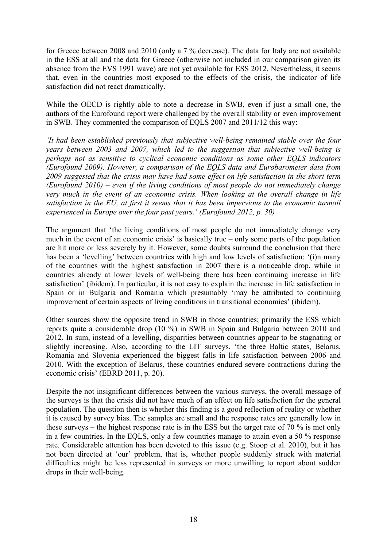for Greece between 2008 and 2010 (only a 7 % decrease). The data for Italy are not available in the ESS at all and the data for Greece (otherwise not included in our comparison given its absence from the EVS 1991 wave) are not yet available for ESS 2012. Nevertheless, it seems that, even in the countries most exposed to the effects of the crisis, the indicator of life satisfaction did not react dramatically.

While the OECD is rightly able to note a decrease in SWB, even if just a small one, the authors of the Eurofound report were challenged by the overall stability or even improvement in SWB. They commented the comparison of EQLS 2007 and 2011/12 this way:

*'It had been established previously that subjective well-being remained stable over the four years between 2003 and 2007, which led to the suggestion that subjective well-being is perhaps not as sensitive to cyclical economic conditions as some other EQLS indicators (Eurofound 2009). However, a comparison of the EQLS data and Eurobarometer data from 2009 suggested that the crisis may have had some effect on life satisfaction in the short term (Eurofound 2010) – even if the living conditions of most people do not immediately change very much in the event of an economic crisis. When looking at the overall change in life satisfaction in the EU, at first it seems that it has been impervious to the economic turmoil experienced in Europe over the four past years.' (Eurofound 2012, p. 30)* 

The argument that 'the living conditions of most people do not immediately change very much in the event of an economic crisis' is basically true – only some parts of the population are hit more or less severely by it. However, some doubts surround the conclusion that there has been a 'levelling' between countries with high and low levels of satisfaction: '(i)n many of the countries with the highest satisfaction in 2007 there is a noticeable drop, while in countries already at lower levels of well-being there has been continuing increase in life satisfaction' (ibidem). In particular, it is not easy to explain the increase in life satisfaction in Spain or in Bulgaria and Romania which presumably 'may be attributed to continuing improvement of certain aspects of living conditions in transitional economies' (ibidem).

Other sources show the opposite trend in SWB in those countries; primarily the ESS which reports quite a considerable drop (10 %) in SWB in Spain and Bulgaria between 2010 and 2012. In sum, instead of a levelling, disparities between countries appear to be stagnating or slightly increasing. Also, according to the LIT surveys, 'the three Baltic states, Belarus, Romania and Slovenia experienced the biggest falls in life satisfaction between 2006 and 2010. With the exception of Belarus, these countries endured severe contractions during the economic crisis' (EBRD 2011, p. 20).

Despite the not insignificant differences between the various surveys, the overall message of the surveys is that the crisis did not have much of an effect on life satisfaction for the general population. The question then is whether this finding is a good reflection of reality or whether it is caused by survey bias. The samples are small and the response rates are generally low in these surveys – the highest response rate is in the ESS but the target rate of 70 % is met only in a few countries. In the EQLS, only a few countries manage to attain even a 50 % response rate. Considerable attention has been devoted to this issue (e.g. Stoop et al. 2010), but it has not been directed at 'our' problem, that is, whether people suddenly struck with material difficulties might be less represented in surveys or more unwilling to report about sudden drops in their well-being.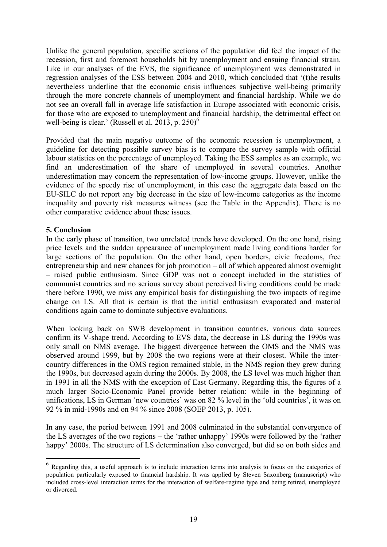Unlike the general population, specific sections of the population did feel the impact of the recession, first and foremost households hit by unemployment and ensuing financial strain. Like in our analyses of the EVS, the significance of unemployment was demonstrated in regression analyses of the ESS between 2004 and 2010, which concluded that '(t)he results nevertheless underline that the economic crisis influences subjective well-being primarily through the more concrete channels of unemployment and financial hardship. While we do not see an overall fall in average life satisfaction in Europe associated with economic crisis, for those who are exposed to unemployment and financial hardship, the detrimental effect on well-being is clear.' (Russell et al. 2013, p.  $250$ )<sup>6</sup>

Provided that the main negative outcome of the economic recession is unemployment, a guideline for detecting possible survey bias is to compare the survey sample with official labour statistics on the percentage of unemployed. Taking the ESS samples as an example, we find an underestimation of the share of unemployed in several countries. Another underestimation may concern the representation of low-income groups. However, unlike the evidence of the speedy rise of unemployment, in this case the aggregate data based on the EU-SILC do not report any big decrease in the size of low-income categories as the income inequality and poverty risk measures witness (see the Table in the Appendix). There is no other comparative evidence about these issues.

#### **5. Conclusion**

1

In the early phase of transition, two unrelated trends have developed. On the one hand, rising price levels and the sudden appearance of unemployment made living conditions harder for large sections of the population. On the other hand, open borders, civic freedoms, free entrepreneurship and new chances for job promotion – all of which appeared almost overnight – raised public enthusiasm. Since GDP was not a concept included in the statistics of communist countries and no serious survey about perceived living conditions could be made there before 1990, we miss any empirical basis for distinguishing the two impacts of regime change on LS. All that is certain is that the initial enthusiasm evaporated and material conditions again came to dominate subjective evaluations.

When looking back on SWB development in transition countries, various data sources confirm its V-shape trend. According to EVS data, the decrease in LS during the 1990s was only small on NMS average. The biggest divergence between the OMS and the NMS was observed around 1999, but by 2008 the two regions were at their closest. While the intercountry differences in the OMS region remained stable, in the NMS region they grew during the 1990s, but decreased again during the 2000s. By 2008, the LS level was much higher than in 1991 in all the NMS with the exception of East Germany. Regarding this, the figures of a much larger Socio-Economic Panel provide better relation: while in the beginning of unifications, LS in German 'new countries' was on 82 % level in the 'old countries', it was on 92 % in mid-1990s and on 94 % since 2008 (SOEP 2013, p. 105).

In any case, the period between 1991 and 2008 culminated in the substantial convergence of the LS averages of the two regions – the 'rather unhappy' 1990s were followed by the 'rather happy' 2000s. The structure of LS determination also converged, but did so on both sides and

 $6$  Regarding this, a useful approach is to include interaction terms into analysis to focus on the categories of population particularly exposed to financial hardship. It was applied by Steven Saxonberg (manuscript) who included cross-level interaction terms for the interaction of welfare-regime type and being retired, unemployed or divorced.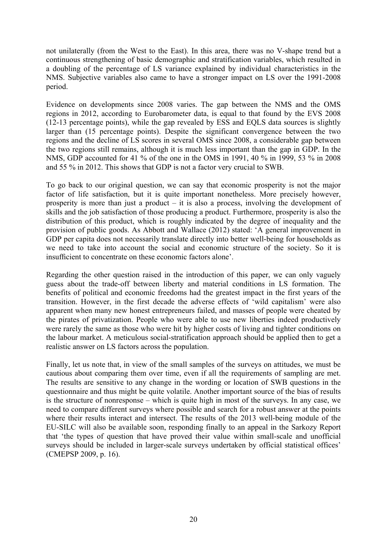not unilaterally (from the West to the East). In this area, there was no V-shape trend but a continuous strengthening of basic demographic and stratification variables, which resulted in a doubling of the percentage of LS variance explained by individual characteristics in the NMS. Subjective variables also came to have a stronger impact on LS over the 1991-2008 period.

Evidence on developments since 2008 varies. The gap between the NMS and the OMS regions in 2012, according to Eurobarometer data, is equal to that found by the EVS 2008 (12-13 percentage points), while the gap revealed by ESS and EQLS data sources is slightly larger than (15 percentage points). Despite the significant convergence between the two regions and the decline of LS scores in several OMS since 2008, a considerable gap between the two regions still remains, although it is much less important than the gap in GDP. In the NMS, GDP accounted for 41 % of the one in the OMS in 1991, 40 % in 1999, 53 % in 2008 and 55 % in 2012. This shows that GDP is not a factor very crucial to SWB.

To go back to our original question, we can say that economic prosperity is not the major factor of life satisfaction, but it is quite important nonetheless. More precisely however, prosperity is more than just a product – it is also a process, involving the development of skills and the job satisfaction of those producing a product. Furthermore, prosperity is also the distribution of this product, which is roughly indicated by the degree of inequality and the provision of public goods. As Abbott and Wallace (2012) stated: 'A general improvement in GDP per capita does not necessarily translate directly into better well-being for households as we need to take into account the social and economic structure of the society. So it is insufficient to concentrate on these economic factors alone'.

Regarding the other question raised in the introduction of this paper, we can only vaguely guess about the trade-off between liberty and material conditions in LS formation. The benefits of political and economic freedoms had the greatest impact in the first years of the transition. However, in the first decade the adverse effects of 'wild capitalism' were also apparent when many new honest entrepreneurs failed, and masses of people were cheated by the pirates of privatization. People who were able to use new liberties indeed productively were rarely the same as those who were hit by higher costs of living and tighter conditions on the labour market. A meticulous social-stratification approach should be applied then to get a realistic answer on LS factors across the population.

Finally, let us note that, in view of the small samples of the surveys on attitudes, we must be cautious about comparing them over time, even if all the requirements of sampling are met. The results are sensitive to any change in the wording or location of SWB questions in the questionnaire and thus might be quite volatile. Another important source of the bias of results is the structure of nonresponse – which is quite high in most of the surveys. In any case, we need to compare different surveys where possible and search for a robust answer at the points where their results interact and intersect. The results of the 2013 well-being module of the EU-SILC will also be available soon, responding finally to an appeal in the Sarkozy Report that 'the types of question that have proved their value within small-scale and unofficial surveys should be included in larger-scale surveys undertaken by official statistical offices' (CMEPSP 2009, p. 16).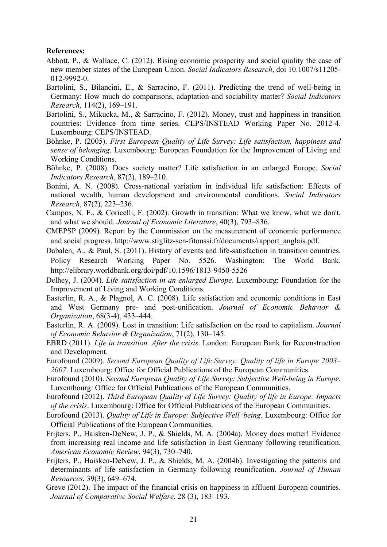#### **References:**

- Abbott, P., & Wallace, C. (2012). Rising economic prosperity and social quality the case of new member states of the European Union. *Social Indicators Research*, doi 10.1007/s11205- 012-9992-0.
- Bartolini, S., Bilancini, E., & Sarracino, F. (2011). Predicting the trend of well-being in Germany: How much do comparisons, adaptation and sociability matter? *Social Indicators Research*, 114(2), 169–191.
- Bartolini, S., Mikucka, M., & Sarracino, F. (2012). Money, trust and happiness in transition countries: Evidence from time series. CEPS/INSTEAD Working Paper No. 2012-4. Luxembourg: CEPS/INSTEAD.
- Böhnke, P. (2005). *First European Quality of Life Survey: Life satisfaction, happiness and sense of belonging*. Luxembourg: European Foundation for the Improvement of Living and Working Conditions.
- Böhnke, P. (2008). Does society matter? Life satisfaction in an enlarged Europe. *Social Indicators Research*, 87(2), 189–210.
- Bonini, A. N. (2008). Cross-national variation in individual life satisfaction: Effects of national wealth, human development and environmental conditions. *Social Indicators Research*, 87(2), 223–236.
- Campos, N. F., & Coricelli, F. (2002). Growth in transition: What we know, what we don't, and what we should. *Journal of Economic Literature*, 40(3), 793–836.
- CMEPSP (2009). Report by the Commission on the measurement of economic performance and social progress. http://www.stiglitz-sen-fitoussi.fr/documents/rapport\_anglais.pdf.
- Dabalen, A., & Paul, S. (2011). History of events and life-satisfaction in transition countries. Policy Research Working Paper No. 5526. Washington: The World Bank. http://elibrary.worldbank.org/doi/pdf/10.1596/1813-9450-5526
- Delhey, J. (2004). *Life satisfaction in an enlarged Europe*. Luxembourg: Foundation for the Improvement of Living and Working Conditions.
- Easterlin, R. A., & Plagnol, A. C. (2008). Life satisfaction and economic conditions in East and West Germany pre- and post-unification. *Journal of Economic Behavior & Organization*, 68(3-4), 433–444.
- Easterlin, R. A. (2009). Lost in transition: Life satisfaction on the road to capitalism. *Journal of Economic Behavior & Organization*, 71(2), 130–145.
- EBRD (2011). *Life in transition. After the crisis*. London: European Bank for Reconstruction and Development.
- Eurofound (2009). *Second European Quality of Life Survey: Quality of life in Europe 2003–* 2007. Luxembourg: Office for Official Publications of the European Communities.
- Eurofound (2010). *Second European Quality of Life Survey: Subjective Well-being in Europe*. Luxembourg: Office for Official Publications of the European Communities.
- Eurofound (2012). *Third European Quality of Life Survey: Quality of life in Europe: Impacts of the crisis*. Luxembourg: Office for Official Publications of the European Communities.
- Eurofound (2013). *Quality of Life in Europe: Subjective Well*‑*being*. Luxembourg: Office for Official Publications of the European Communities.
- Frijters, P., Haisken-DeNew, J. P., & Shields, M. A. (2004a). Money does matter! Evidence from increasing real income and life satisfaction in East Germany following reunification. *American Economic Review*, 94(3), 730–740.
- Frijters, P., Haisken-DeNew, J. P., & Shields, M. A. (2004b). Investigating the patterns and determinants of life satisfaction in Germany following reunification. *Journal of Human Resources*, 39(3), 649–674.
- Greve (2012). The impact of the financial crisis on happiness in affluent European countries. *Journal of Comparative Social Welfare*, 28 (3), 183–193.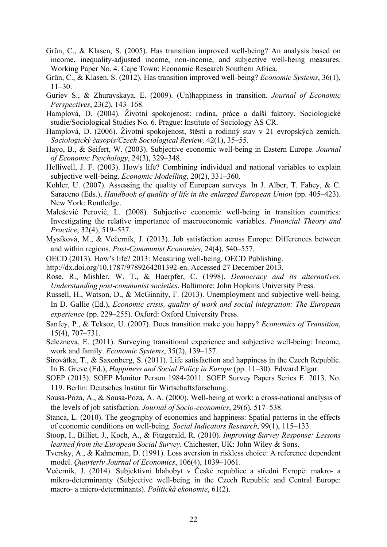- Grün, C., & Klasen, S. (2005). Has transition improved well-being? An analysis based on income, inequality-adjusted income, non-income, and subjective well-being measures. Working Paper No. 4. Cape Town: Economic Research Southern Africa.
- Grün, C., & Klasen, S. (2012). Has transition improved well-being? *Economic Systems*, 36(1), 11–30.
- Guriev S., & Zhuravskaya, E. (2009). (Un)happiness in transition. *Journal of Economic Perspectives*, 23(2), 143–168.
- Hamplová, D. (2004). Životní spokojenost: rodina, práce a další faktory. Sociologické studie/Sociological Studies No. 6. Prague: Institute of Sociology AS CR.
- Hamplová, D. (2006). Životní spokojenost, štěstí a rodinný stav v 21 evropských zemích. *Sociologický časopis/Czech Sociological Review,* 42(1), 35–55.
- Hayo, B., & Seifert, W. (2003). Subjective economic well-being in Eastern Europe. *Journal of Economic Psychology*, 24(3), 329–348.
- Helliwell, J. F. (2003). How's life? Combining individual and national variables to explain subjective well-being. *Economic Modelling*, 20(2), 331–360.
- Kohler, U. (2007). Assessing the quality of European surveys. In J. Alber, T. Fahey, & C. Saraceno (Eds.), *Handbook of quality of life in the enlarged European Union* (pp. 405–423). New York: Routledge.
- Malešević Perović, L. (2008). Subjective economic well-being in transition countries: Investigating the relative importance of macroeconomic variables. *Financial Theory and Practice*, 32(4), 519–537.
- Mysíková, M., & Večerník, J. (2013). Job satisfaction across Europe: Differences between and within regions. *Post-Communist Economies,* 24(4), 540–557.
- OECD (2013). How's life? 2013: Measuring well-being. OECD Publishing.
- http://dx.doi.org/10.1787/9789264201392-en. Accessed 27 December 2013.
- Rose, R., Mishler, W. T., & Haerpfer, C. (1998). *Democracy and its alternatives*. *Understanding post-communist societies*. Baltimore: John Hopkins University Press.
- Russell, H., Watson, D., & McGinnity, F. (2013). Unemployment and subjective well-being. In D. Gallie (Ed.), *Economic crisis, quality of work and social integration: The European experience* (pp. 229–255). Oxford: Oxford University Press.
- Sanfey, P., & Teksoz, U. (2007). Does transition make you happy? *Economics of Transition*, 15(4), 707–731.
- Selezneva, E. (2011). Surveying transitional experience and subjective well-being: Income, work and family. *Economic Systems*, 35(2), 139–157.
- Sirovátka, T., & Saxonberg, S. (2011). Life satisfaction and happiness in the Czech Republic. In B. Greve (Ed.), *Happiness and Social Policy in Europe* (pp. 11–30). Edward Elgar.
- SOEP (2013). SOEP Monitor Person 1984-2011. SOEP Survey Papers Series E. 2013, No. 119. Berlin: Deutsches Institut für Wirtschaftsforschung.
- Sousa-Poza, A., & Sousa-Poza, A. A. (2000). Well-being at work: a cross-national analysis of the levels of job satisfaction. *Journal of Socio-economics*, 29(6), 517–538.
- Stanca, L. (2010). The geography of economics and happiness: Spatial patterns in the effects of economic conditions on well-being. *Social Indicators Research*, 99(1), 115–133.
- Stoop, I., Billiet, J., Koch, A., & Fitzgerald, R. (2010). *Improving Survey Response: Lessons learned from the European Social Survey.* Chichester, UK: John Wiley & Sons.
- Tversky, A., & Kahneman, D. (1991). Loss aversion in riskless choice: A reference dependent model. *Quarterly Journal of Economics*, 106(4), 1039–1061.
- Večerník, J. (2014). Subjektivní blahobyt v České republice a střední Evropě: makro- a mikro-determinanty (Subjective well-being in the Czech Republic and Central Europe: macro- a micro-determinants). *Politická ekonomie*, 61(2).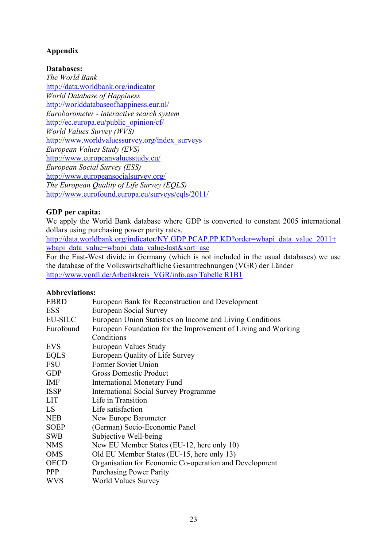### **Appendix**

#### **Databases:**

*The World Bank*  http://data.worldbank.org/indicator *World Database of Happiness*  http://worlddatabaseofhappiness.eur.nl/ *Eurobarometer - interactive search system*  http://ec.europa.eu/public\_opinion/cf/ *World Values Survey (WVS)*  http://www.worldvaluessurvey.org/index\_surveys *European Values Study (EVS)*  http://www.europeanvaluesstudy.eu/ *European Social Survey (ESS)*  http://www.europeansocialsurvey.org/ *The European Quality of Life Survey (EQLS)*  http://www.eurofound.europa.eu/surveys/eqls/2011/

#### **GDP per capita:**

We apply the World Bank database where GDP is converted to constant 2005 international dollars using purchasing power parity rates.

http://data.worldbank.org/indicator/NY.GDP.PCAP.PP.KD?order=wbapi\_data\_value\_2011+ wbapi data value+wbapi data value-last&sort=asc

For the East-West divide in Germany (which is not included in the usual databases) we use the database of the Volkswirtschaftliche Gesamtrechnungen (VGR) der Länder http://www.vgrdl.de/Arbeitskreis\_VGR/info.asp Tabelle R1B1

#### **Abbreviations:**

| <b>EBRD</b>    | European Bank for Reconstruction and Development              |
|----------------|---------------------------------------------------------------|
| <b>ESS</b>     | European Social Survey                                        |
| <b>EU-SILC</b> | European Union Statistics on Income and Living Conditions     |
| Eurofound      | European Foundation for the Improvement of Living and Working |
|                | Conditions                                                    |
| <b>EVS</b>     | European Values Study                                         |
| <b>EQLS</b>    | European Quality of Life Survey                               |
| <b>FSU</b>     | Former Soviet Union                                           |
| <b>GDP</b>     | <b>Gross Domestic Product</b>                                 |
| <b>IMF</b>     | <b>International Monetary Fund</b>                            |
| <b>ISSP</b>    | <b>International Social Survey Programme</b>                  |
| <b>LIT</b>     | Life in Transition                                            |
| LS             | Life satisfaction                                             |
| <b>NEB</b>     | New Europe Barometer                                          |
| <b>SOEP</b>    | (German) Socio-Economic Panel                                 |
| <b>SWB</b>     | Subjective Well-being                                         |
| <b>NMS</b>     | New EU Member States (EU-12, here only 10)                    |
| <b>OMS</b>     | Old EU Member States (EU-15, here only 13)                    |
| <b>OECD</b>    | Organisation for Economic Co-operation and Development        |
| <b>PPP</b>     | <b>Purchasing Power Parity</b>                                |
| <b>WVS</b>     | <b>World Values Survey</b>                                    |